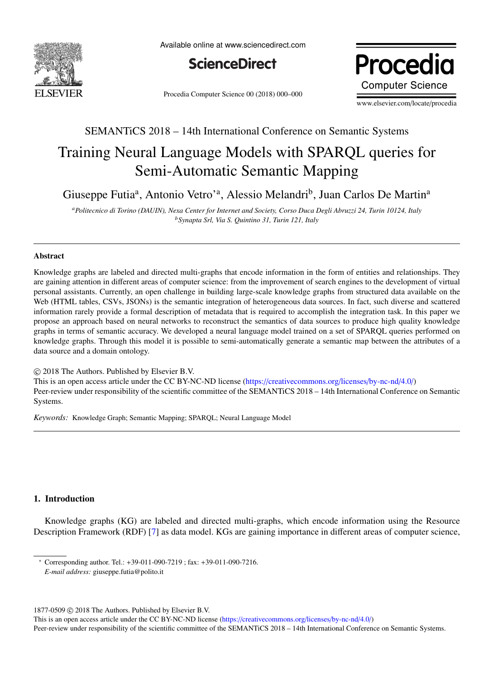

Available online at www.sciencedirect.com



Procedia Computer Science 00 (2018) 000–000

Procedia **Computer Science** 

www.elsevier.com/locate/procedia

## SEMANTiCS 2018 – 14th International Conference on Semantic Systems

# Training Neural Language Models with SPARQL queries for Semi-Automatic Semantic Mapping

Giuseppe Futia<sup>a</sup>, Antonio Vetro'<sup>a</sup>, Alessio Melandri<sup>b</sup>, Juan Carlos De Martin<sup>a</sup>

*<sup>a</sup>Politecnico di Torino (DAUIN), Nexa Center for Internet and Society, Corso Duca Degli Abruzzi 24, Turin 10124, Italy <sup>b</sup>Synapta Srl, Via S. Quintino 31, Turin 121, Italy*

## Abstract

Knowledge graphs are labeled and directed multi-graphs that encode information in the form of entities and relationships. They are gaining attention in different areas of computer science: from the improvement of search engines to the development of virtual personal assistants. Currently, an open challenge in building large-scale knowledge graphs from structured data available on the Web (HTML tables, CSVs, JSONs) is the semantic integration of heterogeneous data sources. In fact, such diverse and scattered information rarely provide a formal description of metadata that is required to accomplish the integration task. In this paper we propose an approach based on neural networks to reconstruct the semantics of data sources to produce high quality knowledge graphs in terms of semantic accuracy. We developed a neural language model trained on a set of SPARQL queries performed on knowledge graphs. Through this model it is possible to semi-automatically generate a semantic map between the attributes of a data source and a domain ontology.

 c 2018 The Authors. Published by Elsevier B.V. This is an open access article under the CC BY-NC-ND license (https://[creativecommons.org](https://creativecommons.org/licenses/by-nc-nd/4.0/)/licenses/by-nc-nd/4.0/) Peer-review under responsibility of the scientific committee of the SEMANTiCS 2018 – 14th International Conference on Semantic Systems.

*Keywords:* Knowledge Graph; Semantic Mapping; SPARQL; Neural Language Model

## 1. Introduction

Knowledge graphs (KG) are labeled and directed multi-graphs, which encode information using the Resource Description Framework (RDF) [\[7\]](#page-11-0) as data model. KGs are gaining importance in different areas of computer science,

1877-0509  $\odot$  2018 The Authors. Published by Elsevier B.V.

This is an open access article under the CC BY-NC-ND license (https://[creativecommons.org](https://creativecommons.org/licenses/by-nc-nd/4.0/)/licenses/by-nc-nd/4.0/)

Peer-review under responsibility of the scientific committee of the SEMANTiCS 2018 – 14th International Conference on Semantic Systems.

<sup>∗</sup> Corresponding author. Tel.: +39-011-090-7219 ; fax: +39-011-090-7216.

*E-mail address:* giuseppe.futia@polito.it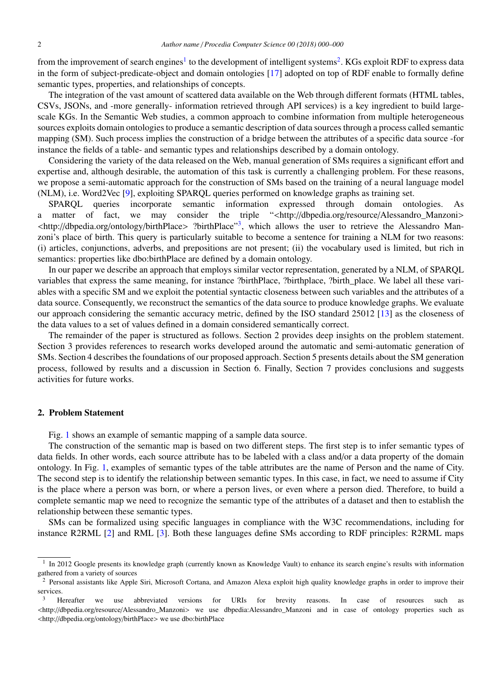from the improvement of search engines<sup>[1](#page-1-0)</sup> to the development of intelligent systems<sup>[2](#page-1-1)</sup>. KGs exploit RDF to express data in the form of subject-predicate-object and domain ontologies [\[17\]](#page-11-1) adopted on top of RDF enable to formally define semantic types, properties, and relationships of concepts.

The integration of the vast amount of scattered data available on the Web through different formats (HTML tables, CSVs, JSONs, and -more generally- information retrieved through API services) is a key ingredient to build largescale KGs. In the Semantic Web studies, a common approach to combine information from multiple heterogeneous sources exploits domain ontologies to produce a semantic description of data sources through a process called semantic mapping (SM). Such process implies the construction of a bridge between the attributes of a specific data source -for instance the fields of a table- and semantic types and relationships described by a domain ontology.

Considering the variety of the data released on the Web, manual generation of SMs requires a significant effort and expertise and, although desirable, the automation of this task is currently a challenging problem. For these reasons, we propose a semi-automatic approach for the construction of SMs based on the training of a neural language model (NLM), i.e. Word2Vec [\[9\]](#page-11-2), exploiting SPARQL queries performed on knowledge graphs as training set.

SPARQL queries incorporate semantic information expressed through domain ontologies. As a matter of fact, we may consider the triple "<http://dbpedia.org/resource/Alessandro\_Manzoni> <http://dbpedia.org/ontology/birthPlace> ?birthPlace"[3](#page-1-2), which allows the user to retrieve the Alessandro Manzoni's place of birth. This query is particularly suitable to become a sentence for training a NLM for two reasons: (i) articles, conjunctions, adverbs, and prepositions are not present; (ii) the vocabulary used is limited, but rich in semantics: properties like dbo:birthPlace are defined by a domain ontology.

In our paper we describe an approach that employs similar vector representation, generated by a NLM, of SPARQL variables that express the same meaning, for instance ?birthPlace, ?birthplace, ?birth\_place. We label all these variables with a specific SM and we exploit the potential syntactic closeness between such variables and the attributes of a data source. Consequently, we reconstruct the semantics of the data source to produce knowledge graphs. We evaluate our approach considering the semantic accuracy metric, defined by the ISO standard 25012 [\[13\]](#page-11-3) as the closeness of the data values to a set of values defined in a domain considered semantically correct.

The remainder of the paper is structured as follows. Section 2 provides deep insights on the problem statement. Section 3 provides references to research works developed around the automatic and semi-automatic generation of SMs. Section 4 describes the foundations of our proposed approach. Section 5 presents details about the SM generation process, followed by results and a discussion in Section 6. Finally, Section 7 provides conclusions and suggests activities for future works.

## 2. Problem Statement

Fig. [1](#page-2-0) shows an example of semantic mapping of a sample data source.

The construction of the semantic map is based on two different steps. The first step is to infer semantic types of data fields. In other words, each source attribute has to be labeled with a class and/or a data property of the domain ontology. In Fig. [1,](#page-2-0) examples of semantic types of the table attributes are the name of Person and the name of City. The second step is to identify the relationship between semantic types. In this case, in fact, we need to assume if City is the place where a person was born, or where a person lives, or even where a person died. Therefore, to build a complete semantic map we need to recognize the semantic type of the attributes of a dataset and then to establish the relationship between these semantic types.

SMs can be formalized using specific languages in compliance with the W3C recommendations, including for instance R2RML [\[2\]](#page-11-4) and RML [\[3\]](#page-11-5). Both these languages define SMs according to RDF principles: R2RML maps

<span id="page-1-0"></span><sup>&</sup>lt;sup>1</sup> In 2012 Google presents its knowledge graph (currently known as Knowledge Vault) to enhance its search engine's results with information gathered from a variety of sources

<span id="page-1-1"></span><sup>&</sup>lt;sup>2</sup> Personal assistants like Apple Siri, Microsoft Cortana, and Amazon Alexa exploit high quality knowledge graphs in order to improve their services.

<span id="page-1-2"></span><sup>&</sup>lt;sup>3</sup> Hereafter we use abbreviated versions for URIs for brevity reasons. In case of resources such as <http://dbpedia.org/resource/Alessandro\_Manzoni> we use dbpedia:Alessandro\_Manzoni and in case of ontology properties such as <http://dbpedia.org/ontology/birthPlace> we use dbo:birthPlace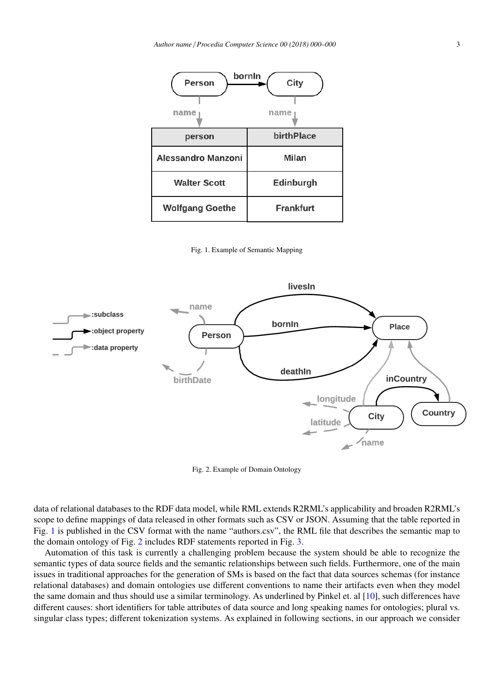

<span id="page-2-0"></span>Fig. 1. Example of Semantic Mapping



<span id="page-2-1"></span>Fig. 2. Example of Domain Ontology

data of relational databases to the RDF data model, while RML extends R2RML's applicability and broaden R2RML's scope to define mappings of data released in other formats such as CSV or JSON. Assuming that the table reported in Fig. [1](#page-2-0) is published in the CSV format with the name "authors.csv", the RML file that describes the semantic map to the domain ontology of Fig. [2](#page-2-1) includes RDF statements reported in Fig. [3.](#page-3-0)

Automation of this task is currently a challenging problem because the system should be able to recognize the semantic types of data source fields and the semantic relationships between such fields. Furthermore, one of the main issues in traditional approaches for the generation of SMs is based on the fact that data sources schemas (for instance relational databases) and domain ontologies use different conventions to name their artifacts even when they model the same domain and thus should use a similar terminology. As underlined by Pinkel et. al [\[10\]](#page-11-6), such differences have different causes: short identifiers for table attributes of data source and long speaking names for ontologies; plural vs. singular class types; different tokenization systems. As explained in following sections, in our approach we consider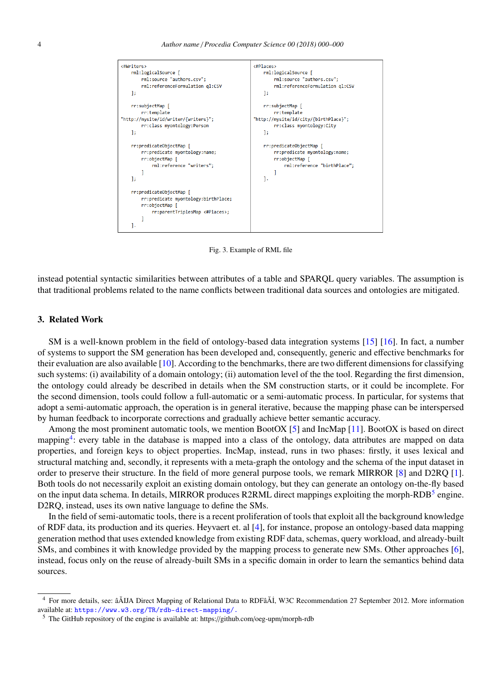

<span id="page-3-0"></span>Fig. 3. Example of RML file

instead potential syntactic similarities between attributes of a table and SPARQL query variables. The assumption is that traditional problems related to the name conflicts between traditional data sources and ontologies are mitigated.

## 3. Related Work

SM is a well-known problem in the field of ontology-based data integration systems [\[15\]](#page-11-7) [\[16\]](#page-11-8). In fact, a number of systems to support the SM generation has been developed and, consequently, generic and effective benchmarks for their evaluation are also available [\[10\]](#page-11-6). According to the benchmarks, there are two different dimensions for classifying such systems: (i) availability of a domain ontology; (ii) automation level of the the tool. Regarding the first dimension, the ontology could already be described in details when the SM construction starts, or it could be incomplete. For the second dimension, tools could follow a full-automatic or a semi-automatic process. In particular, for systems that adopt a semi-automatic approach, the operation is in general iterative, because the mapping phase can be interspersed by human feedback to incorporate corrections and gradually achieve better semantic accuracy.

Among the most prominent automatic tools, we mention BootOX [\[5\]](#page-11-9) and IncMap [\[11\]](#page-11-10). BootOX is based on direct mapping<sup>[4](#page-3-1)</sup>: every table in the database is mapped into a class of the ontology, data attributes are mapped on data properties, and foreign keys to object properties. IncMap, instead, runs in two phases: firstly, it uses lexical and structural matching and, secondly, it represents with a meta-graph the ontology and the schema of the input dataset in order to preserve their structure. In the field of more general purpose tools, we remark MIRROR [\[8\]](#page-11-11) and D2RQ [\[1\]](#page-11-12). Both tools do not necessarily exploit an existing domain ontology, but they can generate an ontology on-the-fly based on the input data schema. In details, MIRROR produces R2RML direct mappings exploiting the morph-RDB<sup>[5](#page-3-2)</sup> engine. D2RQ, instead, uses its own native language to define the SMs.

In the field of semi-automatic tools, there is a recent proliferation of tools that exploit all the background knowledge of RDF data, its production and its queries. Heyvaert et. al [\[4\]](#page-11-13), for instance, propose an ontology-based data mapping generation method that uses extended knowledge from existing RDF data, schemas, query workload, and already-built SMs, and combines it with knowledge provided by the mapping process to generate new SMs. Other approaches [\[6\]](#page-11-14), instead, focus only on the reuse of already-built SMs in a specific domain in order to learn the semantics behind data sources.

<span id="page-3-1"></span>For more details, see: âAIJA Direct Mapping of Relational Data to RDFâ AI, W3C Recommendation 27 September 2012. More information available at: <https://www.w3.org/TR/rdb-direct-mapping/.>

<span id="page-3-2"></span><sup>5</sup> The GitHub repository of the engine is available at: https://github.com/oeg-upm/morph-rdb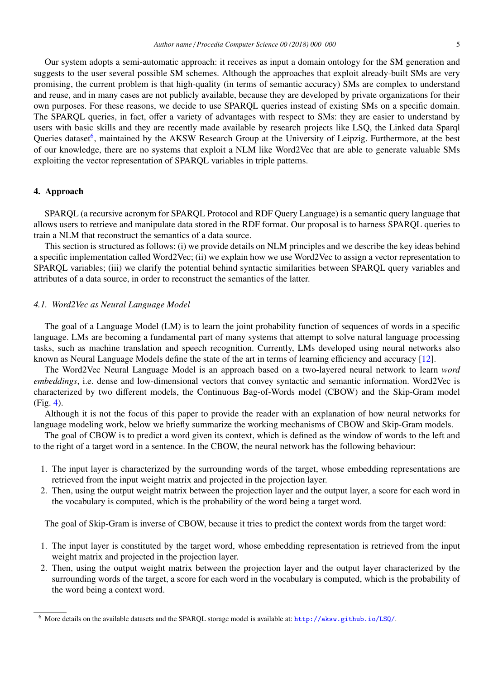Our system adopts a semi-automatic approach: it receives as input a domain ontology for the SM generation and suggests to the user several possible SM schemes. Although the approaches that exploit already-built SMs are very promising, the current problem is that high-quality (in terms of semantic accuracy) SMs are complex to understand and reuse, and in many cases are not publicly available, because they are developed by private organizations for their own purposes. For these reasons, we decide to use SPARQL queries instead of existing SMs on a specific domain. The SPARQL queries, in fact, offer a variety of advantages with respect to SMs: they are easier to understand by users with basic skills and they are recently made available by research projects like LSQ, the Linked data Sparql Queries dataset<sup>[6](#page-4-0)</sup>, maintained by the AKSW Research Group at the University of Leipzig. Furthermore, at the best of our knowledge, there are no systems that exploit a NLM like Word2Vec that are able to generate valuable SMs exploiting the vector representation of SPARQL variables in triple patterns.

#### 4. Approach

SPARQL (a recursive acronym for SPARQL Protocol and RDF Query Language) is a semantic query language that allows users to retrieve and manipulate data stored in the RDF format. Our proposal is to harness SPARQL queries to train a NLM that reconstruct the semantics of a data source.

This section is structured as follows: (i) we provide details on NLM principles and we describe the key ideas behind a specific implementation called Word2Vec; (ii) we explain how we use Word2Vec to assign a vector representation to SPARQL variables; (iii) we clarify the potential behind syntactic similarities between SPARQL query variables and attributes of a data source, in order to reconstruct the semantics of the latter.

#### *4.1. Word2Vec as Neural Language Model*

The goal of a Language Model (LM) is to learn the joint probability function of sequences of words in a specific language. LMs are becoming a fundamental part of many systems that attempt to solve natural language processing tasks, such as machine translation and speech recognition. Currently, LMs developed using neural networks also known as Neural Language Models define the state of the art in terms of learning efficiency and accuracy [\[12\]](#page-11-15).

The Word2Vec Neural Language Model is an approach based on a two-layered neural network to learn *word embeddings*, i.e. dense and low-dimensional vectors that convey syntactic and semantic information. Word2Vec is characterized by two different models, the Continuous Bag-of-Words model (CBOW) and the Skip-Gram model (Fig. [4\)](#page-5-0).

Although it is not the focus of this paper to provide the reader with an explanation of how neural networks for language modeling work, below we briefly summarize the working mechanisms of CBOW and Skip-Gram models.

The goal of CBOW is to predict a word given its context, which is defined as the window of words to the left and to the right of a target word in a sentence. In the CBOW, the neural network has the following behaviour:

- 1. The input layer is characterized by the surrounding words of the target, whose embedding representations are retrieved from the input weight matrix and projected in the projection layer.
- 2. Then, using the output weight matrix between the projection layer and the output layer, a score for each word in the vocabulary is computed, which is the probability of the word being a target word.

The goal of Skip-Gram is inverse of CBOW, because it tries to predict the context words from the target word:

- 1. The input layer is constituted by the target word, whose embedding representation is retrieved from the input weight matrix and projected in the projection layer.
- 2. Then, using the output weight matrix between the projection layer and the output layer characterized by the surrounding words of the target, a score for each word in the vocabulary is computed, which is the probability of the word being a context word.

<span id="page-4-0"></span><sup>6</sup> More details on the available datasets and the SPARQL storage model is available at: <http://aksw.github.io/LSQ/>.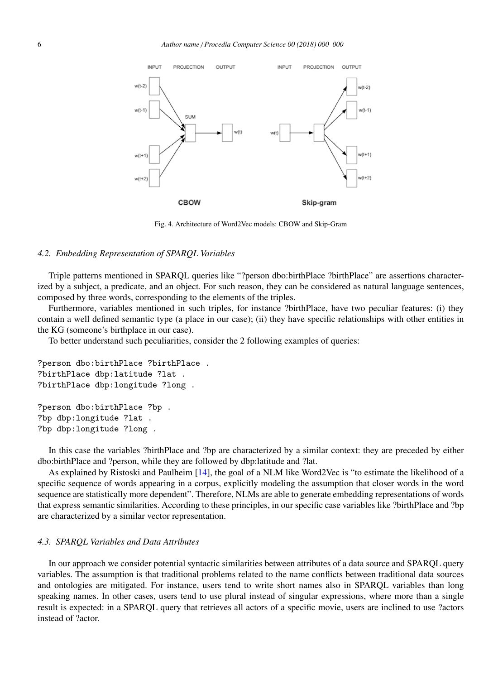

<span id="page-5-0"></span>Fig. 4. Architecture of Word2Vec models: CBOW and Skip-Gram

#### *4.2. Embedding Representation of SPARQL Variables*

Triple patterns mentioned in SPARQL queries like "?person dbo:birthPlace ?birthPlace" are assertions characterized by a subject, a predicate, and an object. For such reason, they can be considered as natural language sentences, composed by three words, corresponding to the elements of the triples.

Furthermore, variables mentioned in such triples, for instance ?birthPlace, have two peculiar features: (i) they contain a well defined semantic type (a place in our case); (ii) they have specific relationships with other entities in the KG (someone's birthplace in our case).

To better understand such peculiarities, consider the 2 following examples of queries:

```
?person dbo:birthPlace ?birthPlace .
?birthPlace dbp:latitude ?lat .
?birthPlace dbp:longitude ?long .
?person dbo:birthPlace ?bp .
?bp dbp:longitude ?lat .
?bp dbp:longitude ?long .
```
In this case the variables ?birthPlace and ?bp are characterized by a similar context: they are preceded by either dbo:birthPlace and ?person, while they are followed by dbp:latitude and ?lat.

As explained by Ristoski and Paulheim [\[14\]](#page-11-16), the goal of a NLM like Word2Vec is "to estimate the likelihood of a specific sequence of words appearing in a corpus, explicitly modeling the assumption that closer words in the word sequence are statistically more dependent". Therefore, NLMs are able to generate embedding representations of words that express semantic similarities. According to these principles, in our specific case variables like ?birthPlace and ?bp are characterized by a similar vector representation.

## *4.3. SPARQL Variables and Data Attributes*

In our approach we consider potential syntactic similarities between attributes of a data source and SPARQL query variables. The assumption is that traditional problems related to the name conflicts between traditional data sources and ontologies are mitigated. For instance, users tend to write short names also in SPARQL variables than long speaking names. In other cases, users tend to use plural instead of singular expressions, where more than a single result is expected: in a SPARQL query that retrieves all actors of a specific movie, users are inclined to use ?actors instead of ?actor.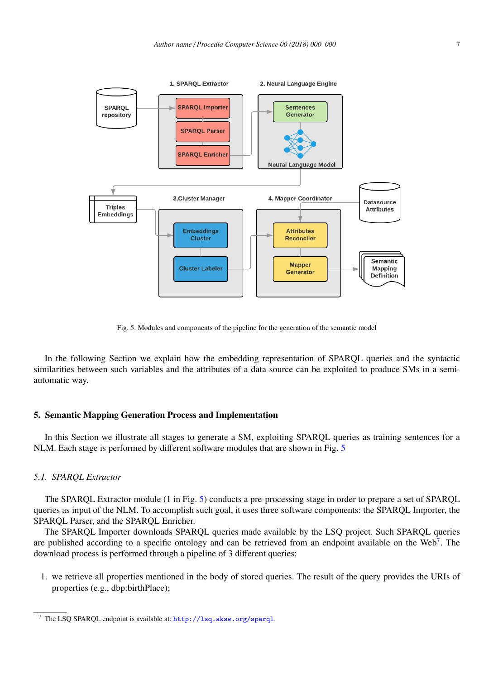

<span id="page-6-0"></span>Fig. 5. Modules and components of the pipeline for the generation of the semantic model

In the following Section we explain how the embedding representation of SPARQL queries and the syntactic similarities between such variables and the attributes of a data source can be exploited to produce SMs in a semiautomatic way.

## 5. Semantic Mapping Generation Process and Implementation

In this Section we illustrate all stages to generate a SM, exploiting SPARQL queries as training sentences for a NLM. Each stage is performed by different software modules that are shown in Fig. [5](#page-6-0)

#### *5.1. SPARQL Extractor*

The SPARQL Extractor module (1 in Fig. [5\)](#page-6-0) conducts a pre-processing stage in order to prepare a set of SPARQL queries as input of the NLM. To accomplish such goal, it uses three software components: the SPARQL Importer, the SPARQL Parser, and the SPARQL Enricher.

The SPARQL Importer downloads SPARQL queries made available by the LSQ project. Such SPARQL queries are published according to a specific ontology and can be retrieved from an endpoint available on the Web<sup>[7](#page-6-1)</sup>. The download process is performed through a pipeline of 3 different queries:

1. we retrieve all properties mentioned in the body of stored queries. The result of the query provides the URIs of properties (e.g., dbp:birthPlace);

<span id="page-6-1"></span><sup>7</sup> The LSQ SPARQL endpoint is available at: <http://lsq.aksw.org/sparql>.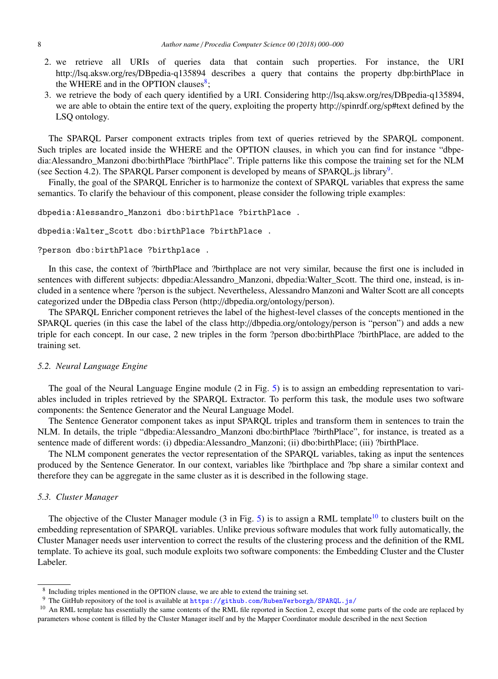- 2. we retrieve all URIs of queries data that contain such properties. For instance, the URI http://lsq.aksw.org/res/DBpedia-q135894 describes a query that contains the property dbp:birthPlace in the WHERE and in the OPTION clauses<sup>[8](#page-7-0)</sup>;
- 3. we retrieve the body of each query identified by a URI. Considering http://lsq.aksw.org/res/DBpedia-q135894, we are able to obtain the entire text of the query, exploiting the property http://spinrdf.org/sp#text defined by the LSQ ontology.

The SPARQL Parser component extracts triples from text of queries retrieved by the SPARQL component. Such triples are located inside the WHERE and the OPTION clauses, in which you can find for instance "dbpedia:Alessandro\_Manzoni dbo:birthPlace ?birthPlace". Triple patterns like this compose the training set for the NLM (see Section 4.2). The SPARQL Parser component is developed by means of SPARQL.js library<sup>[9](#page-7-1)</sup>.

Finally, the goal of the SPARQL Enricher is to harmonize the context of SPARQL variables that express the same semantics. To clarify the behaviour of this component, please consider the following triple examples:

dbpedia:Alessandro\_Manzoni dbo:birthPlace ?birthPlace .

```
dbpedia:Walter_Scott dbo:birthPlace ?birthPlace .
```
?person dbo:birthPlace ?birthplace .

In this case, the context of ?birthPlace and ?birthplace are not very similar, because the first one is included in sentences with different subjects: dbpedia:Alessandro Manzoni, dbpedia:Walter Scott. The third one, instead, is included in a sentence where ?person is the subject. Nevertheless, Alessandro Manzoni and Walter Scott are all concepts categorized under the DBpedia class Person (http://dbpedia.org/ontology/person).

The SPARQL Enricher component retrieves the label of the highest-level classes of the concepts mentioned in the SPARQL queries (in this case the label of the class http://dbpedia.org/ontology/person is "person") and adds a new triple for each concept. In our case, 2 new triples in the form ?person dbo:birthPlace ?birthPlace, are added to the training set.

## *5.2. Neural Language Engine*

The goal of the Neural Language Engine module (2 in Fig. [5\)](#page-6-0) is to assign an embedding representation to variables included in triples retrieved by the SPARQL Extractor. To perform this task, the module uses two software components: the Sentence Generator and the Neural Language Model.

The Sentence Generator component takes as input SPARQL triples and transform them in sentences to train the NLM. In details, the triple "dbpedia:Alessandro Manzoni dbo:birthPlace ?birthPlace", for instance, is treated as a sentence made of different words: (i) dbpedia:Alessandro Manzoni; (ii) dbo:birthPlace; (iii) ?birthPlace.

The NLM component generates the vector representation of the SPARQL variables, taking as input the sentences produced by the Sentence Generator. In our context, variables like ?birthplace and ?bp share a similar context and therefore they can be aggregate in the same cluster as it is described in the following stage.

## *5.3. Cluster Manager*

The objective of the Cluster Manager module (3 in Fig. [5\)](#page-6-0) is to assign a RML template<sup>[10](#page-7-2)</sup> to clusters built on the embedding representation of SPARQL variables. Unlike previous software modules that work fully automatically, the Cluster Manager needs user intervention to correct the results of the clustering process and the definition of the RML template. To achieve its goal, such module exploits two software components: the Embedding Cluster and the Cluster Labeler.

<span id="page-7-0"></span><sup>&</sup>lt;sup>8</sup> Including triples mentioned in the OPTION clause, we are able to extend the training set.

<span id="page-7-2"></span><span id="page-7-1"></span><sup>&</sup>lt;sup>9</sup> The GitHub repository of the tool is available at <https://github.com/RubenVerborgh/SPARQL.js/>

<sup>&</sup>lt;sup>10</sup> An RML template has essentially the same contents of the RML file reported in Section 2, except that some parts of the code are replaced by parameters whose content is filled by the Cluster Manager itself and by the Mapper Coordinator module described in the next Section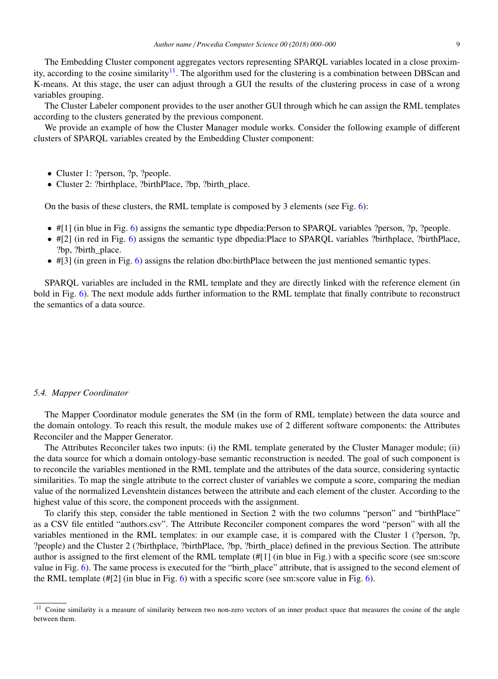The Embedding Cluster component aggregates vectors representing SPARQL variables located in a close proxim-ity, according to the cosine similarity<sup>[11](#page-8-0)</sup>. The algorithm used for the clustering is a combination between DBScan and K-means. At this stage, the user can adjust through a GUI the results of the clustering process in case of a wrong variables grouping.

The Cluster Labeler component provides to the user another GUI through which he can assign the RML templates according to the clusters generated by the previous component.

We provide an example of how the Cluster Manager module works. Consider the following example of different clusters of SPARQL variables created by the Embedding Cluster component:

- Cluster 1: ?person, ?p, ?people.
- Cluster 2: ?birthplace, ?birthPlace, ?bp, ?birth\_place.

On the basis of these clusters, the RML template is composed by 3 elements (see Fig. [6\)](#page-9-0):

- #[1] (in blue in Fig. [6\)](#page-9-0) assigns the semantic type dbpedia:Person to SPARQL variables ?person, ?p, ?people.
- #[2] (in red in Fig. [6\)](#page-9-0) assigns the semantic type dbpedia:Place to SPARQL variables ?birthplace, ?birthPlace, ?bp, ?birth\_place.
- $\bullet$  #[3] (in green in Fig. [6\)](#page-9-0) assigns the relation dbo:birthPlace between the just mentioned semantic types.

SPARQL variables are included in the RML template and they are directly linked with the reference element (in bold in Fig. [6\)](#page-9-0). The next module adds further information to the RML template that finally contribute to reconstruct the semantics of a data source.

#### *5.4. Mapper Coordinator*

The Mapper Coordinator module generates the SM (in the form of RML template) between the data source and the domain ontology. To reach this result, the module makes use of 2 different software components: the Attributes Reconciler and the Mapper Generator.

The Attributes Reconciler takes two inputs: (i) the RML template generated by the Cluster Manager module; (ii) the data source for which a domain ontology-base semantic reconstruction is needed. The goal of such component is to reconcile the variables mentioned in the RML template and the attributes of the data source, considering syntactic similarities. To map the single attribute to the correct cluster of variables we compute a score, comparing the median value of the normalized Levenshtein distances between the attribute and each element of the cluster. According to the highest value of this score, the component proceeds with the assignment.

To clarify this step, consider the table mentioned in Section 2 with the two columns "person" and "birthPlace" as a CSV file entitled "authors.csv". The Attribute Reconciler component compares the word "person" with all the variables mentioned in the RML templates: in our example case, it is compared with the Cluster 1 (?person, ?p, ?people) and the Cluster 2 (?birthplace, ?birthPlace, ?bp, ?birth\_place) defined in the previous Section. The attribute author is assigned to the first element of the RML template (#[1] (in blue in Fig.) with a specific score (see sm:score value in Fig. [6\)](#page-9-0). The same process is executed for the "birth\_place" attribute, that is assigned to the second element of the RML template (#[2] (in blue in Fig. [6\)](#page-9-0) with a specific score (see sm:score value in Fig. [6\)](#page-9-0).

<span id="page-8-0"></span> $\frac{11}{11}$  Cosine similarity is a measure of similarity between two non-zero vectors of an inner product space that measures the cosine of the angle between them.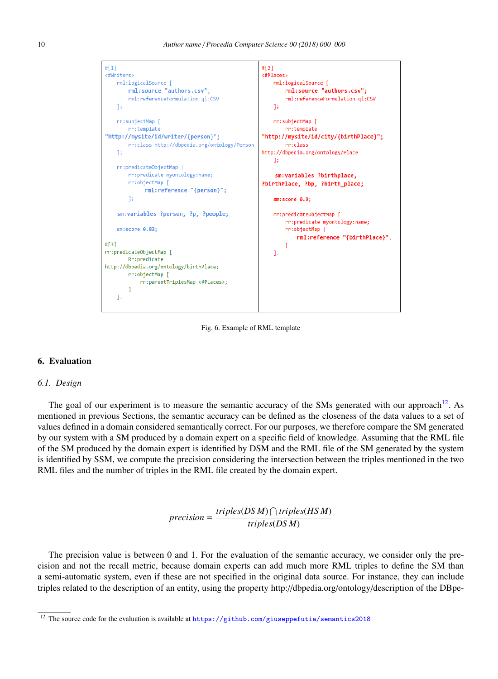

<span id="page-9-0"></span>Fig. 6. Example of RML template

## 6. Evaluation

## *6.1. Design*

The goal of our experiment is to measure the semantic accuracy of the SMs generated with our approach<sup>[12](#page-9-1)</sup>. As mentioned in previous Sections, the semantic accuracy can be defined as the closeness of the data values to a set of values defined in a domain considered semantically correct. For our purposes, we therefore compare the SM generated by our system with a SM produced by a domain expert on a specific field of knowledge. Assuming that the RML file of the SM produced by the domain expert is identified by DSM and the RML file of the SM generated by the system is identified by SSM, we compute the precision considering the intersection between the triples mentioned in the two RML files and the number of triples in the RML file created by the domain expert.

> $precision = \frac{triples(DSM) \cap triples(HSM)}{P}$ *triples*(*DS M*)

The precision value is between 0 and 1. For the evaluation of the semantic accuracy, we consider only the precision and not the recall metric, because domain experts can add much more RML triples to define the SM than a semi-automatic system, even if these are not specified in the original data source. For instance, they can include triples related to the description of an entity, using the property http://dbpedia.org/ontology/description of the DBpe-

<span id="page-9-1"></span> $^{12}$  The source code for the evaluation is available at  $\texttt{https://github.com/giuseppe1utia/semantics2018}$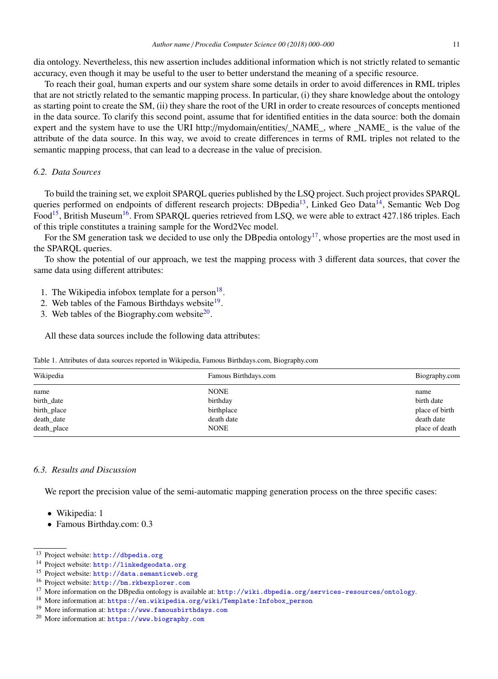dia ontology. Nevertheless, this new assertion includes additional information which is not strictly related to semantic accuracy, even though it may be useful to the user to better understand the meaning of a specific resource.

To reach their goal, human experts and our system share some details in order to avoid differences in RML triples that are not strictly related to the semantic mapping process. In particular, (i) they share knowledge about the ontology as starting point to create the SM, (ii) they share the root of the URI in order to create resources of concepts mentioned in the data source. To clarify this second point, assume that for identified entities in the data source: both the domain expert and the system have to use the URI http://mydomain/entities/\_NAME\_, where \_NAME\_ is the value of the attribute of the data source. In this way, we avoid to create differences in terms of RML triples not related to the semantic mapping process, that can lead to a decrease in the value of precision.

## *6.2. Data Sources*

To build the training set, we exploit SPARQL queries published by the LSQ project. Such project provides SPARQL queries performed on endpoints of different research projects: DBpedia<sup>[13](#page-10-0)</sup>, Linked Geo Data<sup>[14](#page-10-1)</sup>, Semantic Web Dog Food<sup>[15](#page-10-2)</sup>, British Museum<sup>[16](#page-10-3)</sup>. From SPARQL queries retrieved from LSQ, we were able to extract 427.186 triples. Each of this triple constitutes a training sample for the Word2Vec model.

For the SM generation task we decided to use only the DB pedia ontology<sup>[17](#page-10-4)</sup>, whose properties are the most used in the SPARQL queries.

To show the potential of our approach, we test the mapping process with 3 different data sources, that cover the same data using different attributes:

- 1. The Wikipedia infobox template for a person $18$ .
- 2. Web tables of the Famous Birthdays website<sup>[19](#page-10-6)</sup>.
- 3. Web tables of the Biography.com website $2^0$ .

All these data sources include the following data attributes:

| Table 1. Attributes of data sources reported in Wikipedia, Famous Birthdays.com, Biography.com |  |  |  |  |
|------------------------------------------------------------------------------------------------|--|--|--|--|
|------------------------------------------------------------------------------------------------|--|--|--|--|

| Wikipedia   | Famous Birthdays.com | Biography.com  |
|-------------|----------------------|----------------|
| name        | <b>NONE</b>          | name           |
| birth_date  | birthday             | birth date     |
| birth_place | birthplace           | place of birth |
| death_date  | death date           | death date     |
| death_place | <b>NONE</b>          | place of death |

## *6.3. Results and Discussion*

We report the precision value of the semi-automatic mapping generation process on the three specific cases:

- Wikipedia: 1
- Famous Birthday.com: 0.3

<span id="page-10-0"></span><sup>13</sup> Project website: <http://dbpedia.org>

<span id="page-10-1"></span><sup>14</sup> Project website: <http://linkedgeodata.org>

<span id="page-10-2"></span><sup>15</sup> Project website: <http://data.semanticweb.org>

<span id="page-10-3"></span><sup>16</sup> Project website: <http://bm.rkbexplorer.com>

<span id="page-10-4"></span><sup>&</sup>lt;sup>17</sup> More information on the DBpedia ontology is available at: <http://wiki.dbpedia.org/services-resources/ontology>.

<span id="page-10-5"></span><sup>18</sup> More information at: [https://en.wikipedia.org/wiki/Template:Infobox\\_person](https://en.wikipedia.org/wiki/Template:Infobox_person)

<span id="page-10-6"></span><sup>19</sup> More information at: <https://www.famousbirthdays.com>

<span id="page-10-7"></span><sup>20</sup> More information at: <https://www.biography.com>